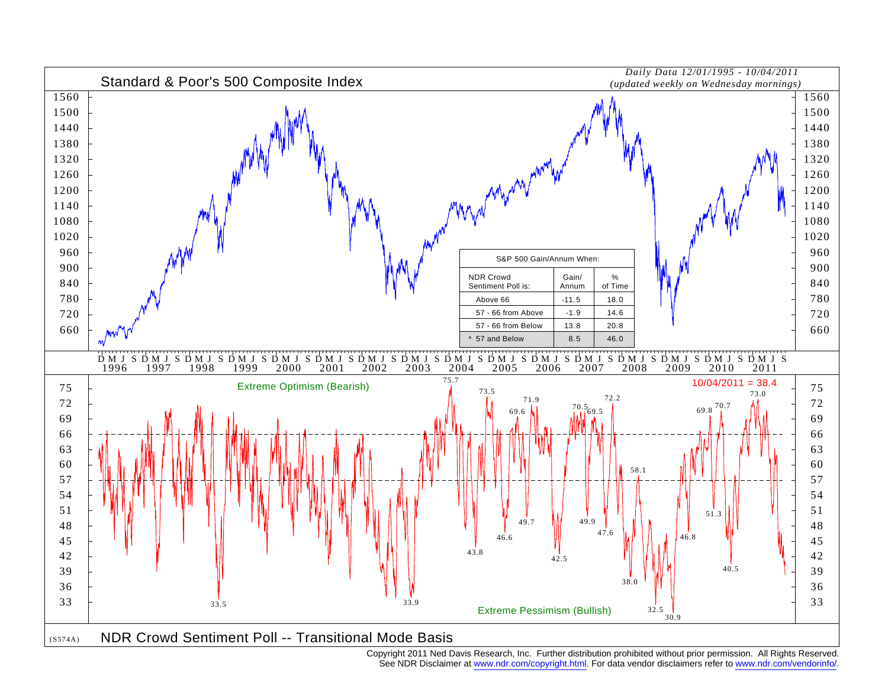

See NDR Disclaimer at www.ndr.com/copyright.html. For data vendor disclaimers refer to www.ndr.com/vendorinfo/.